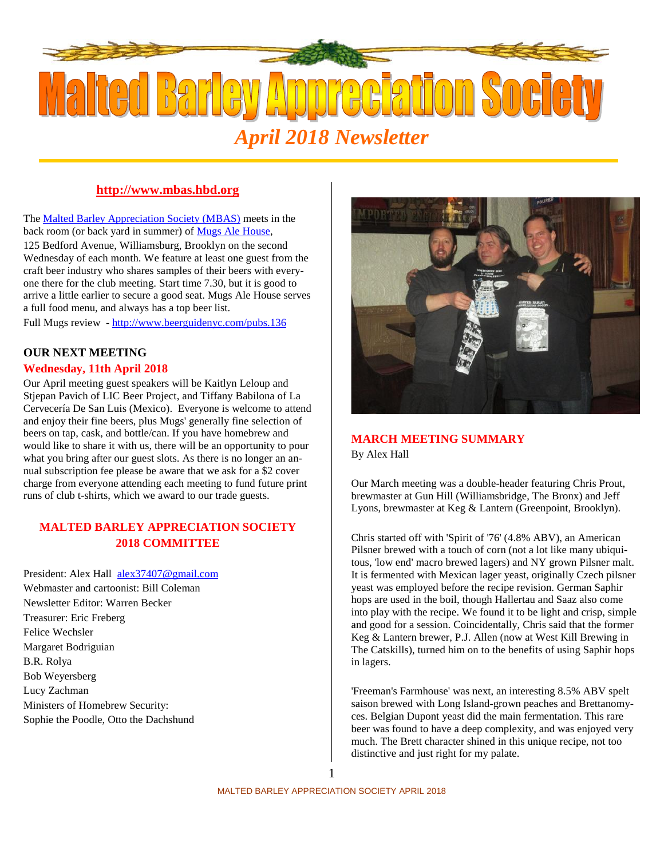

# **http://www.mbas.hbd.org**

The Malted Barley Appreciation Society (MBAS) meets in the back room (or back yard in summer) of Mugs Ale House,

125 Bedford Avenue, Williamsburg, Brooklyn on the second Wednesday of each month. We feature at least one guest from the craft beer industry who shares samples of their beers with everyone there for the club meeting. Start time 7.30, but it is good to arrive a little earlier to secure a good seat. Mugs Ale House serves a full food menu, and always has a top beer list.

Full Mugs review - http://www.beerguidenyc.com/pubs.136

# **OUR NEXT MEETING**

#### **Wednesday, 11th April 2018**

Our April meeting guest speakers will be Kaitlyn Leloup and Stjepan Pavich of LIC Beer Project, and Tiffany Babilona of La Cervecería De San Luis (Mexico). Everyone is welcome to attend and enjoy their fine beers, plus Mugs' generally fine selection of beers on tap, cask, and bottle/can. If you have homebrew and would like to share it with us, there will be an opportunity to pour what you bring after our guest slots. As there is no longer an annual subscription fee please be aware that we ask for a \$2 cover charge from everyone attending each meeting to fund future print runs of club t-shirts, which we award to our trade guests.

# **MALTED BARLEY APPRECIATION SOCIETY 2018 COMMITTEE**

President: Alex Hall alex37407@gmail.com Webmaster and cartoonist: Bill Coleman Newsletter Editor: Warren Becker Treasurer: Eric Freberg Felice Wechsler Margaret Bodriguian B.R. Rolya Bob Weyersberg Lucy Zachman Ministers of Homebrew Security: Sophie the Poodle, Otto the Dachshund



# **MARCH MEETING SUMMARY**

By Alex Hall

Our March meeting was a double-header featuring Chris Prout, brewmaster at Gun Hill (Williamsbridge, The Bronx) and Jeff Lyons, brewmaster at Keg & Lantern (Greenpoint, Brooklyn).

Chris started off with 'Spirit of '76' (4.8% ABV), an American Pilsner brewed with a touch of corn (not a lot like many ubiquitous, 'low end' macro brewed lagers) and NY grown Pilsner malt. It is fermented with Mexican lager yeast, originally Czech pilsner yeast was employed before the recipe revision. German Saphir hops are used in the boil, though Hallertau and Saaz also come into play with the recipe. We found it to be light and crisp, simple and good for a session. Coincidentally, Chris said that the former Keg & Lantern brewer, P.J. Allen (now at West Kill Brewing in The Catskills), turned him on to the benefits of using Saphir hops in lagers.

'Freeman's Farmhouse' was next, an interesting 8.5% ABV spelt saison brewed with Long Island-grown peaches and Brettanomyces. Belgian Dupont yeast did the main fermentation. This rare beer was found to have a deep complexity, and was enjoyed very much. The Brett character shined in this unique recipe, not too distinctive and just right for my palate.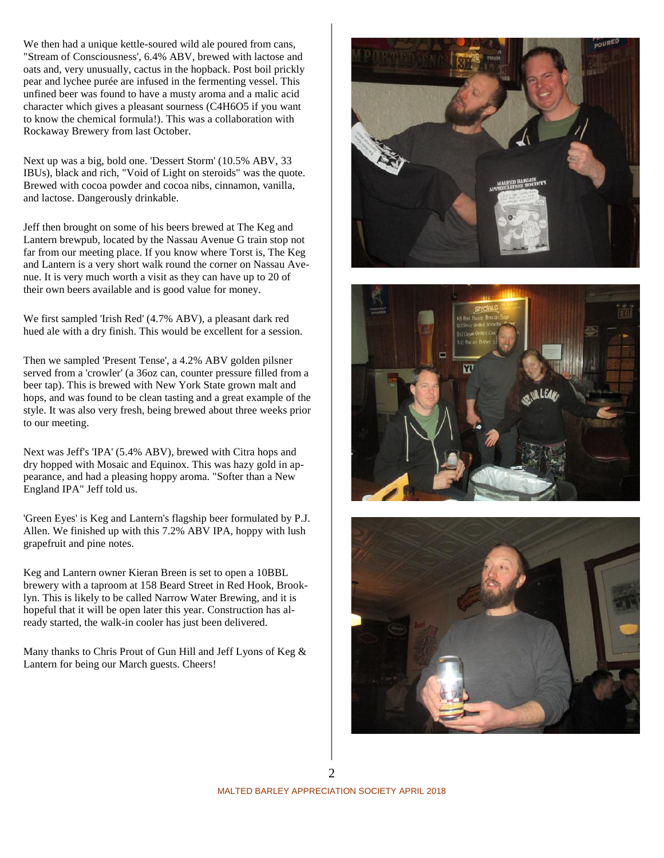We then had a unique kettle-soured wild ale poured from cans, "Stream of Consciousness', 6.4% ABV, brewed with lactose and oats and, very unusually, cactus in the hopback. Post boil prickly pear and lychee purée are infused in the fermenting vessel. This unfined beer was found to have a musty aroma and a malic acid character which gives a pleasant sourness (C4H6O5 if you want to know the chemical formula!). This was a collaboration with Rockaway Brewery from last October.

Next up was a big, bold one. 'Dessert Storm' (10.5% ABV, 33 IBUs), black and rich, "Void of Light on steroids" was the quote. Brewed with cocoa powder and cocoa nibs, cinnamon, vanilla, and lactose. Dangerously drinkable.

Jeff then brought on some of his beers brewed at The Keg and Lantern brewpub, located by the Nassau Avenue G train stop not far from our meeting place. If you know where Torst is, The Keg and Lantern is a very short walk round the corner on Nassau Avenue. It is very much worth a visit as they can have up to 20 of their own beers available and is good value for money.

We first sampled 'Irish Red' (4.7% ABV), a pleasant dark red hued ale with a dry finish. This would be excellent for a session.

Then we sampled 'Present Tense', a 4.2% ABV golden pilsner served from a 'crowler' (a 36oz can, counter pressure filled from a beer tap). This is brewed with New York State grown malt and hops, and was found to be clean tasting and a great example of the style. It was also very fresh, being brewed about three weeks prior to our meeting.

Next was Jeff's 'IPA' (5.4% ABV), brewed with Citra hops and dry hopped with Mosaic and Equinox. This was hazy gold in appearance, and had a pleasing hoppy aroma. "Softer than a New England IPA" Jeff told us.

'Green Eyes' is Keg and Lantern's flagship beer formulated by P.J. Allen. We finished up with this 7.2% ABV IPA, hoppy with lush grapefruit and pine notes.

Keg and Lantern owner Kieran Breen is set to open a 10BBL brewery with a taproom at 158 Beard Street in Red Hook, Brooklyn. This is likely to be called Narrow Water Brewing, and it is hopeful that it will be open later this year. Construction has already started, the walk-in cooler has just been delivered.

Many thanks to Chris Prout of Gun Hill and Jeff Lyons of Keg & Lantern for being our March guests. Cheers!





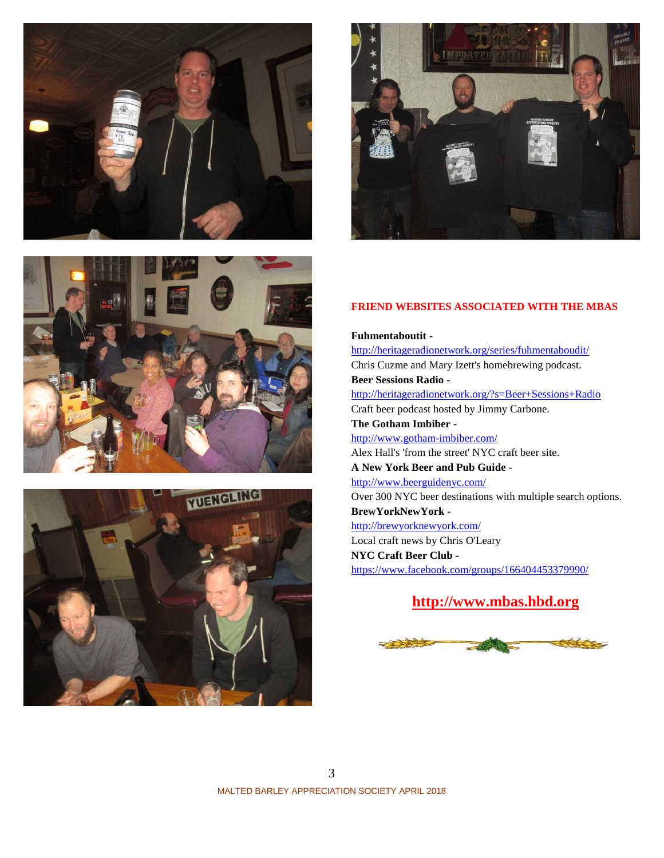







### **FRIEND WEBSITES ASSOCIATED WITH THE MBAS**

**Fuhmentaboutit**  http://heritageradionetwork.org/series/fuhmentaboudit/ Chris Cuzme and Mary Izett's homebrewing podcast. **Beer Sessions Radio**  http://heritageradionetwork.org/?s=Beer+Sessions+Radio Craft beer podcast hosted by Jimmy Carbone. **The Gotham Imbiber**  http://www.gotham-imbiber.com/ Alex Hall's 'from the street' NYC craft beer site. **A New York Beer and Pub Guide**  http://www.beerguidenyc.com/ Over 300 NYC beer destinations with multiple search options. **BrewYorkNewYork**  http://brewyorknewyork.com/ Local craft news by Chris O'Leary **NYC Craft Beer Club**  https://www.facebook.com/groups/166404453379990/

# **http://www.mbas.hbd.org**